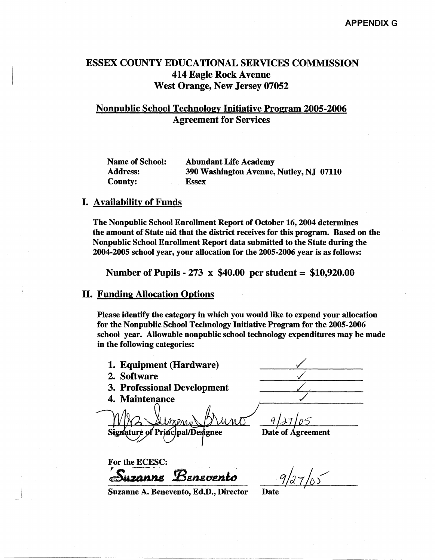# ESSEX COUNTY EDUCATIONAL SERVICES COMMISSION 414 Eagle Rock Avenue West Orange, New Jersey 07052

## Nonpublic School Technology Initiative Program 2005-2006 Agreement for Services

| <b>Name of School:</b> | <b>Abundant Life Academy</b>            |  |
|------------------------|-----------------------------------------|--|
| <b>Address:</b>        | 390 Washington Avenue, Nutley, NJ 07110 |  |
| <b>County:</b>         | <b>Essex</b>                            |  |

### I. Availability of Funds

The Nonpublic School Enrollment Report of October 16, 2004 determines the amount of State aid that the district receives for this program. Based on the Nonpublic School Enrollment Report data submitted to the State during the 2004-2005 school year, your allocation for the 2005-2006 year is as follows:

Number of Pupils - 273 x \$40.00 per student = \$10,920.00

### II. Funding Allocation Options

Please identify the category in which you would like to expend your allocation for the Nonpublic School Technology Initiative Program for the 2005-2006 school year. Allowable nonpublic school technology expenditures may be made in the following categories:

- 1. Equipment (Hardware)
- 2. Software
- 3. Professional Development
- 4. Maintenance

Signature of Principal/Designee

Date of Agreement

For the ECESC:  $S$ uzanne Benevento Suzanne Benevento 9/27/05